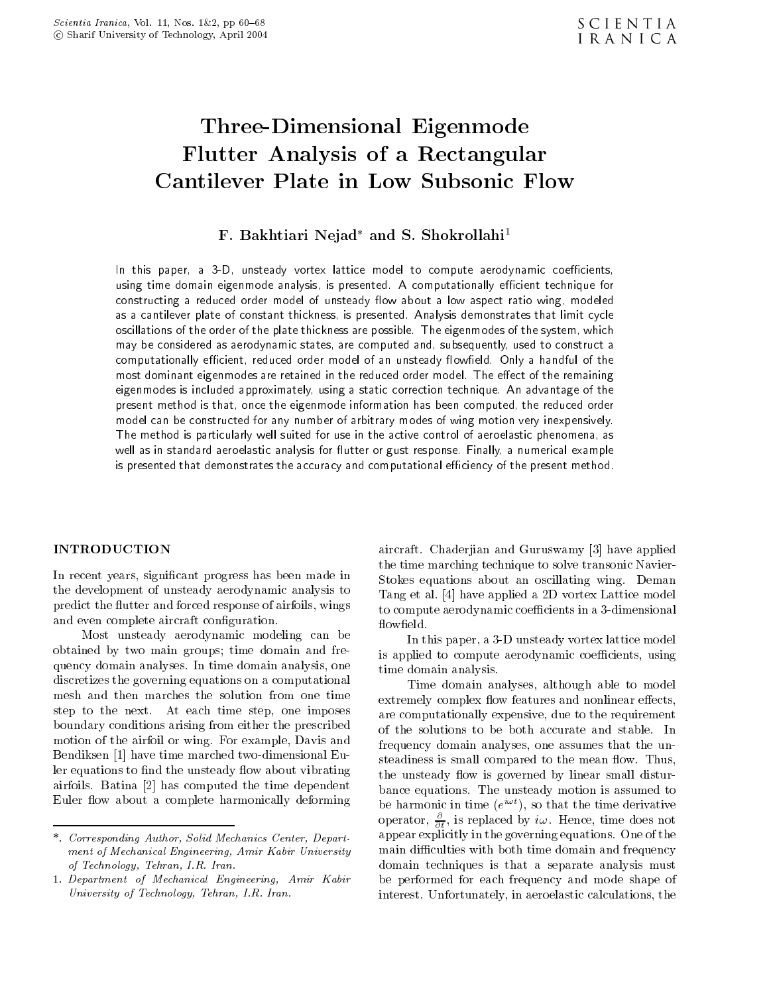# Three-Dimensional Eigenmode Flutter Analysis of a Rectangular Cantilever Plate in Low Subsonic Flow

# r. Dakhtiari Nejad-ahd S. Shokrollahi

In this paper a -D unsteady vortex lattice model to compute aerodynamic coecients using time domain eigenmode analysis, is presented. A computationally efficient technique for constructing a reduced order model of unsteady flow about a low aspect ratio wing, modeled as a cantilever plate of constant thickness, is presented. Analysis demonstrates that limit cycle oscillations of the order of the plate thickness are possible. The eigenmodes of the system, which may be considered as aerodynamic states, are computed and, subsequently, used to construct a computationally efficient, reduced order model of an unsteady flowfield. Only a handful of the most dominant eigenmodes are retained in the reduced order model. The effect of the remaining eigenmodes is included approximately, using a static correction technique. An advantage of the present method is that, once the eigenmode information has been computed, the reduced order model can be constructed for any number of arbitrary modes of wing motion very inexpensively The method is particularly well suited for use in the active control of aeroelastic phenomena as well as in standard aeroelastic analysis for flutter or gust response. Finally, a numerical example is presented that demonstrates the accuracy and computational efficiency of the present method.

### INTRODUCTION

In recent years signi-cant progress has been made in the development of unsteady aerodynamic analysis to predict the flutter and forced response of airfoils, wings and even complete aircraft complete aircraft con-

Most unsteady aerodynamic modeling can be obtained by two main groups; time domain and frequency domain analyses. In time domain analysis, one discretizes the governing equations on a computational mesh and then marches the solution from one time step to the next. At each time step, one imposes boundary conditions arising from either the prescribed motion of the airfoil or wing. For example, Davis and Bendiksen [1] have time marched two-dimensional Euler equations to -nd the unsteady ow about vibrating airfoils Batina has computed the time dependent Euler flow about a complete harmonically deforming

aircraft. Chaderiian and Guruswamy [3] have applied the time marching technique to solve transonic Navier Stokes equations about an oscillating wing. Deman Tang et al de lattice model a lattice model a participation and the control of the control of the control of t to compute aerodynamic coefficients in a 3-dimensional flowfield.

In this paper, a 3-D unsteady vortex lattice model is applied to compute aerodynamic coefficients, using time domain analysis

Time domain analyses, although able to model extremely complex flow features and nonlinear effects, are computationally expensive, due to the requirement of the solutions to be both accurate and stable In frequency domain analyses, one assumes that the unsteadiness is small compared to the mean flow. Thus, the unsteady flow is governed by linear small disturbance equations. The unsteady motion is assumed to be harmonic in time ( $e^{+\pi\tau}$ ), so that the time derivative operator,  $\frac{\partial}{\partial t}$ , is replaced by  $\imath\omega$ . Hence, time does not appear explicitly in the governing equations. One of the main di
culties with both time domain and frequency domain techniques is that a separate analysis must be performed for each frequency and mode shape of interest. Unfortunately, in aeroelastic calculations, the

<sup>-</sup> Corresponding Author Solid Mechanics Center Department of Mechanical Engineering, Amir Kabir University of Technology, Tehran, I.R. Iran.

<sup>-</sup> Department of Mechanical Engineering Amir Kabir University of Technology, Tehran, I.R. Iran.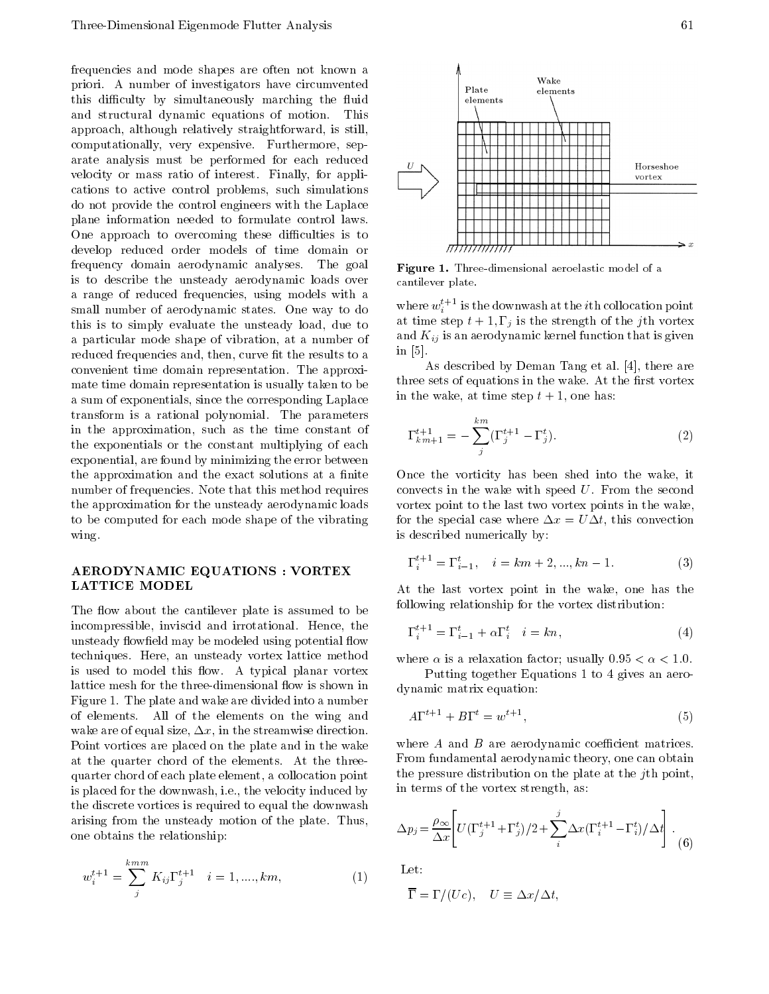frequencies and mode shapes are often not known a priori A number of investigators have circumvented this difficulty by simultaneously marching the fluid and structural dynamic equations of motion This approach, although relatively straightforward, is still, computationally, very expensive. Furthermore, separate analysis must be performed for each reduced velocity or mass ratio of interest. Finally, for applications to active control problems, such simulations do not provide the control engineers with the Laplace plane information needed to formulate control laws One approach to overcoming these difficulties is to develop reduced order models of time domain or frequency domain aerodynamic analyses The goal is to describe the unsteady aerodynamic loads over a range of reduced frequencies, using models with a small number of aerodynamic states. One way to do this is to simply evaluate the unsteady load, due to a particular mode shape of vibration at a number of reduced frequencies and then curve - then curve - then curve - then curve - then curve - then curve - then curv convenient time domain representation The approxi mate time domain representation is usually taken to be a sum of exponentials, since the corresponding Laplace transform is a rational polynomial The parameters in the approximation, such as the time constant of the exponentials or the constant multiplying of each exponential, are found by minimizing the error between the approximation and the exact solutions at a -nite number of frequencies Note that this method requires the approximation for the unsteady aerodynamic loads to be computed for each mode shape of the vibrating wing

### AERODYNAMIC EQUATIONS : VORTEX LATTICE MODEL

The flow about the cantilever plate is assumed to be incompressible, inviscid and irrotational. Hence, the eld may be modeled using potential output was presented using the continuous complete the continuous complete o techniques. Here, an unsteady vortex lattice method is used to model this flow. A typical planar vortex lattice mesh for the three-dimensional flow is shown in Figure 1. The plate and wake are divided into a number of elements All of the elements on the wing and wake are of equal size,  $\Delta x$ , in the streamwise direction. Point vortices are placed on the plate and in the wake at the quarter chord of the elements. At the threequarter chord of each plate element, a collocation point is placed for the downwash, i.e., the velocity induced by the discrete vortices is required to equal the downwash arising from the unsteady motion of the plate. Thus, one obtains the relationship

$$
w_i^{t+1} = \sum_j^{k m m} K_{ij} \Gamma_j^{t+1} \quad i = 1, \dots, km,
$$
 (1)



Figure - Threedimensional aeroelastic model of a cantilever plate.

where  $w_i^*$  - is the downwash at the  $i$ th collocation point iat time step t - j = j is the strength of the jim vortex. and Kij is and that is given that is given that is given that is given that is given that is given that is given in  $[5]$ .

As described by Deman Tang et al.  $[4]$ , there are three sets of equations in the wake At the wake At the wake At the wake At the wake At the wake At the in the wake, at time step  $t + 1$ , one has:

$$
\Gamma_{km+1}^{t+1} = -\sum_{j}^{km} (\Gamma_j^{t+1} - \Gamma_j^t).
$$
 (2)

Once the vorticity has been shed into the wake, it convects in the wake with speed  $U$ . From the second vortex point to the last two vortex points in the wake for the special case where  $\Delta x = U \Delta t$ , this convection is described numerically by

$$
\Gamma_i^{t+1} = \Gamma_{i-1}^t, \quad i = km+2, ..., kn-1. \tag{3}
$$

At the last vortex point in the wake, one has the following relationship for the vortex distribution

$$
\Gamma_i^{t+1} = \Gamma_{i-1}^t + \alpha \Gamma_i^t \quad i = kn,\tag{4}
$$

where  $\alpha$  is a relaxation factor; usually  $0.95 < \alpha < 1.0$ .

Putting together Equations 1 to 4 gives an aerodynamic matrix equation

$$
A\Gamma^{t+1} + B\Gamma^t = w^{t+1},\tag{5}
$$

where  $A$  and  $B$  are aerodynamic coefficient matrices. From fundamental aerodynamic theory, one can obtain the pressure distribution on the plate at the j<sup>th</sup> point, in terms of the vortex strength, as:

$$
\Delta p_j = \frac{\rho_{\infty}}{\Delta x} \left[ U(\Gamma_j^{t+1} + \Gamma_j^t)/2 + \sum_i^j \Delta x (\Gamma_i^{t+1} - \Gamma_i^t)/\Delta t \right].
$$
 (6)

Let

$$
\overline{\Gamma} = \Gamma/(Uc), \quad U \equiv \Delta x/\Delta t,
$$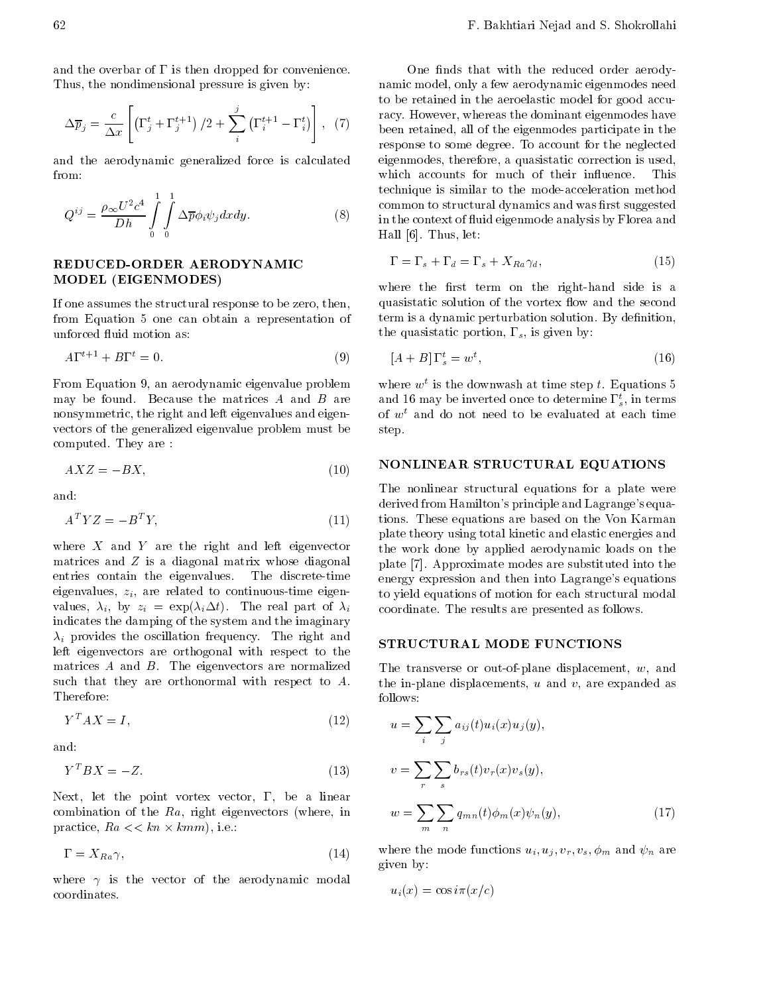and the overbar of  $\Gamma$  is then dropped for convenience. Thus, the nondimensional pressure is given by:

$$
\Delta \overline{p}_j = \frac{c}{\Delta x} \left[ \left( \Gamma_j^t + \Gamma_j^{t+1} \right) / 2 + \sum_i^j \left( \Gamma_i^{t+1} - \Gamma_i^t \right) \right], \tag{7}
$$

and the aerodynamic generalized force is calculated

$$
Q^{ij} = \frac{\rho_{\infty} U^2 c^4}{Dh} \int_{0}^{1} \int_{0}^{1} \Delta \overline{p} \phi_i \psi_j dx dy.
$$
 (8)

# MODEL (EIGENMODES)

If one assumes the structural response to be zero, then, from Equation 5 one can obtain a representation of unforced fluid motion as:

$$
A\Gamma^{t+1} + B\Gamma^t = 0.\tag{9}
$$

From Equation 9, an aerodynamic eigenvalue problem may be found. Because the matrices  $A$  and  $B$  are nonsymmetric, the right and left eigenvalues and eigenvectors of the generalized eigenvalue problem must be computed. They are:

$$
AXZ = -BX,\tag{10}
$$

and

$$
A^T Y Z = -B^T Y,\tag{11}
$$

where  $X$  and  $Y$  are the right and left eigenvector matrices and  $Z$  is a diagonal matrix whose diagonal entries contain the eigenvalues. The discrete-time eigenvalues zi are related to continuoustime eigen values i by zi exp it The real part of iindicates the damping of the system and the imaginary in provides the oscillation frequency  $\mathcal{I} = \mathcal{I}$  right and  $\mathcal{I}$  . Only left eigenvectors are orthogonal with respect to the matrices  $A$  and  $B$ . The eigenvectors are normalized such that they are orthonormal with respect to  $A$ . Therefore:

$$
Y^T A X = I,\t(12)
$$

and

$$
Y^T BX = -Z.\t(13)
$$

Next, let the point vortex vector,  $\Gamma$ , be a linear combination of the  $Ra$ , right eigenvectors (where, in practice,  $Ra \ll \frac{k}{m \times km m}$ , i.e.:

$$
\Gamma = X_{Ra} \gamma, \tag{14}
$$

where  $\gamma$  is the vector of the aerodynamic modal coordinates.

 $\mathcal{F}'$  been retained, all of the eigenmodes participate in the one - notice - notice - noticed order at the reduced order at  $\mathcal{C}$ namic model, only a few aerodynamic eigenmodes need to be retained in the aeroelastic model for good accu racy. However, whereas the dominant eigenmodes have response to some degree. To account for the neglected eigenmodes, therefore, a quasistatic correction is used, which accounts for much of their influence. This technique is similar to the modeacceleration method common to structural dynamics and was -rst suggested in the context of fluid eigenmode analysis by Florea and Hall  $[6]$ . Thus, let:

$$
\Gamma = \Gamma_s + \Gamma_d = \Gamma_s + X_{Ra} \gamma_d, \tag{15}
$$

where the rest term on the righthand side is a rest term on the righthand side is a rest term on the right  $\alpha$ quasistatic solution of the vortex flow and the second term is a dynamic perturbation solution By de-nition the quasistatic portion,  $\Gamma_s$ , is given by:

$$
[A+B] \Gamma_s^t = w^t,\tag{16}
$$

where  $w^*$  is the downwash at time step  $t$ . Equations 5  $\hspace{0.1mm}$ and 16 may be inverted once to determine  $\Gamma_s^t$ , in terms of  $w<sup>t</sup>$  and do not need to be evaluated at each time step

### NONLINEAR STRUCTURAL EQUATIONS

The nonlinear structural equations for a plate were derived from Hamilton's principle and Lagrange's equations These equations are based on the Von Karman plate theory using total kinetic and elastic energies and the work done by applied aerodynamic loads on the plate [7]. Approximate modes are substituted into the energy expression and then into Lagrange's equations to yield equations of motion for each structural modal coordinate. The results are presented as follows.

#### STRUCTURAL MODE FUNCTIONS

The transverse or out-of-plane displacement,  $w$ , and the in-plane displacements,  $u$  and  $v$ , are expanded as follows

$$
u = \sum_{i} \sum_{j} a_{ij}(t)u_i(x)u_j(y),
$$
  
\n
$$
v = \sum_{r} \sum_{s} b_{rs}(t)v_r(x)v_s(y),
$$
  
\n
$$
\sum_{m} w = \sum_{n} \sum_{n} q_{mn}(t)\phi_m(x)\psi_n(y),
$$
 (17)

where the mode functions up  $\{v_{i}\}$  ,  $\{v_{i}\}$  ,  $\{v_{i}\}$  ,  $\{u_{i}\}$  ,  $\{u_{i}\}$  ,  $\{v_{i}\}$  ,  $\{v_{i}\}$ given by

$$
u_i(x) = \cos i\pi (x/c)
$$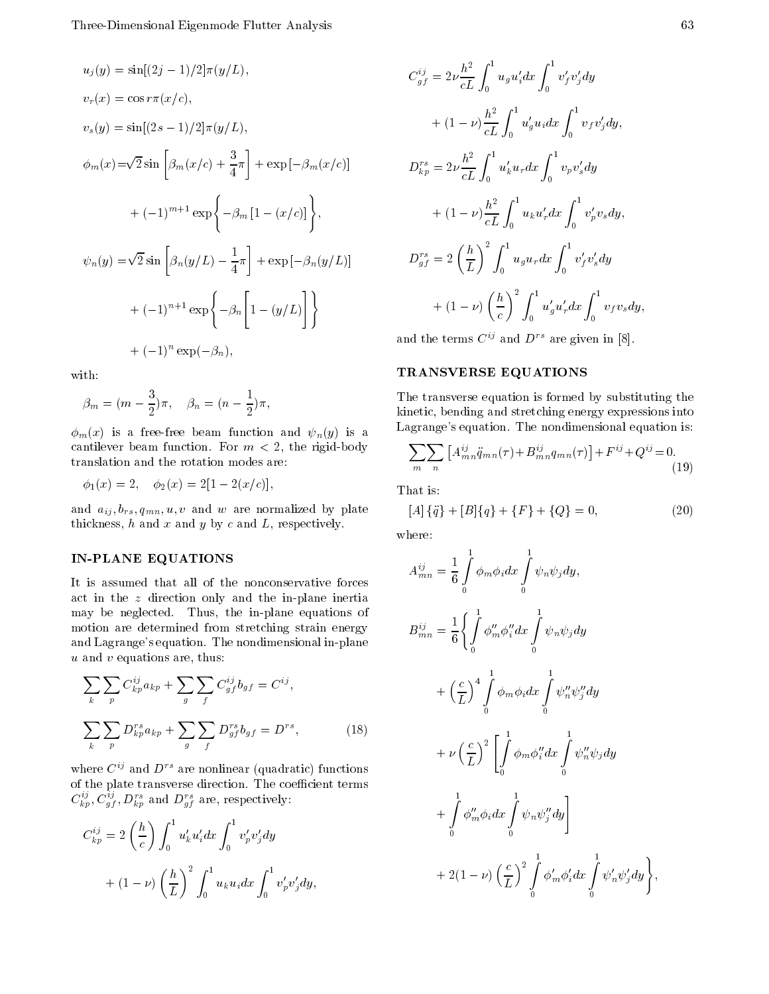$$
u_j(y) = \sin[(2j - 1)/2] \pi(y/L),
$$
  
\n
$$
v_r(x) = \cos r \pi(x/c),
$$
  
\n
$$
v_s(y) = \sin[(2s - 1)/2] \pi(y/L),
$$
  
\n
$$
\phi_m(x) = \sqrt{2} \sin \left[ \beta_m(x/c) + \frac{3}{4} \pi \right] + \exp \left[ -\beta_m(x/c) \right]
$$
  
\n
$$
+ (-1)^{m+1} \exp \left\{ -\beta_m \left[ 1 - (x/c) \right] \right\},
$$
  
\n
$$
\psi_n(y) = \sqrt{2} \sin \left[ \beta_n(y/L) - \frac{1}{4} \pi \right] + \exp \left[ -\beta_n(y/L) \right]
$$
  
\n
$$
+ (-1)^{n+1} \exp \left\{ -\beta_n \left[ 1 - (y/L) \right] \right\}
$$
  
\n
$$
+ (-1)^n \exp(-\beta_n),
$$

with:

$$
\beta_m = (m - \frac{3}{2})\pi, \quad \beta_n = (n - \frac{1}{2})\pi,
$$

 $\phi_m(x)$  is a free-free beam function and  $\psi_n(y)$  is a cantilever beam function for m in the rigid body and the rigid of the state of the state of the state of the s translation and the rotation modes are

$$
\phi_1(x) = 2, \quad \phi_2(x) = 2[1 - 2(x/c)],
$$

and a  $\mu$  -  $\mu$  are normalized by plate and when  $\mu$  are not matched by plate  $\mu$ thickness,  $h$  and  $x$  and  $y$  by  $c$  and  $L$ , respectively.

#### PLANE EQUATIONS IN THE EQUATIONS IN THE EQUATION OF REAL PROPERTY.

It is assumed that all of the nonconservative forces act in the  $z$  direction only and the in-plane inertia may be neglected. Thus, the in-plane equations of motion are determined from stretching strain energy and Lagrange's equation. The nondimensional in-plane  $u$  and  $v$  equations are, thus:

$$
\sum_{k} \sum_{p} C_{kp}^{ij} a_{kp} + \sum_{g} \sum_{f} C_{gf}^{ij} b_{gf} = C^{ij},
$$
\n
$$
\sum_{k} \sum_{p} D_{kp}^{rs} a_{kp} + \sum_{g} \sum_{f} D_{gf}^{rs} b_{gf} = D^{rs},
$$
\n(18)

where  $C^{ij}$  and  $D^{rs}$  are nonlinear (quadratic) functions of the plate transverse direction. The coefficient terms  $C_{kp}^{\gamma}$ ,  $C_{qf}^{\gamma}$ ,  $D_{kp}^{\gamma}$  and  $D_{qf}^{\gamma}$  are, respectively:

$$
C_{kp}^{ij} = 2\left(\frac{h}{c}\right) \int_0^1 u'_k u'_i dx \int_0^1 v'_p v'_j dy
$$
  
+  $(1 - \nu) \left(\frac{h}{L}\right)^2 \int_0^1 u_k u_i dx \int_0^1 v'_p v'_j dy,$ 

$$
C_{gf}^{ij} = 2\nu \frac{h^2}{cL} \int_0^1 u_g u'_i dx \int_0^1 v'_f v'_j dy
$$
  
+  $(1 - \nu) \frac{h^2}{cL} \int_0^1 u'_g u_i dx \int_0^1 v_f v'_j dy$ ,  

$$
D_{kp}^{rs} = 2\nu \frac{h^2}{cL} \int_0^1 u'_k u_r dx \int_0^1 v_p v'_s dy
$$
  
+  $(1 - \nu) \frac{h^2}{cL} \int_0^1 u_k u'_r dx \int_0^1 v'_p v_s dy$ ,  

$$
D_{gf}^{rs} = 2 \left(\frac{h}{L}\right)^2 \int_0^1 u_g u_r dx \int_0^1 v'_f v'_s dy
$$
  
+  $(1 - \nu) \left(\frac{h}{c}\right)^2 \int_0^1 u'_g u'_r dx \int_0^1 v_f v_s dy$ ,

and the terms  $C^{ij}$  and  $D^{rs}$  are given in [8].

## TRANSVERSE EQUATIONS

The transverse equation is formed by substituting the kinetic, bending and stretching energy expressions into Lagrange's equation. The nondimensional equation is:

$$
\sum_{m} \sum_{n} \left[ A^{ij}_{mn} \ddot{q}_{mn}(\tau) + B^{ij}_{mn} q_{mn}(\tau) \right] + F^{ij} + Q^{ij} = 0.
$$
\n(19)

That is

$$
[A] \{\ddot{q}\} + [B] \{q\} + \{F\} + \{Q\} = 0,\tag{20}
$$

where:

$$
A_{mn}^{ij} = \frac{1}{6} \int_{0}^{1} \phi_{m} \phi_{i} dx \int_{0}^{1} \psi_{n} \psi_{j} dy,
$$
  
\n
$$
B_{mn}^{ij} = \frac{1}{6} \left\{ \int_{0}^{1} \phi_{m}'' \phi_{i}'' dx \int_{0}^{1} \psi_{n} \psi_{j} dy \right.
$$
  
\n
$$
+ \left(\frac{c}{L}\right)^{4} \int_{0}^{1} \phi_{m} \phi_{i} dx \int_{0}^{1} \psi_{n}'' \psi_{j}'' dy
$$
  
\n
$$
+ \nu \left(\frac{c}{L}\right)^{2} \left[ \int_{0}^{1} \phi_{m} \phi_{i}'' dx \int_{0}^{1} \psi_{n}'' \psi_{j} dy \right.
$$
  
\n
$$
+ \int_{0}^{1} \phi_{m}'' \phi_{i} dx \int_{0}^{1} \psi_{n} \psi_{j}'' dy
$$
  
\n
$$
+ 2(1 - \nu) \left(\frac{c}{L}\right)^{2} \int_{0}^{1} \phi_{m}' \phi_{i}' dx \int_{0}^{1} \psi_{n}' \psi_{j}' dy
$$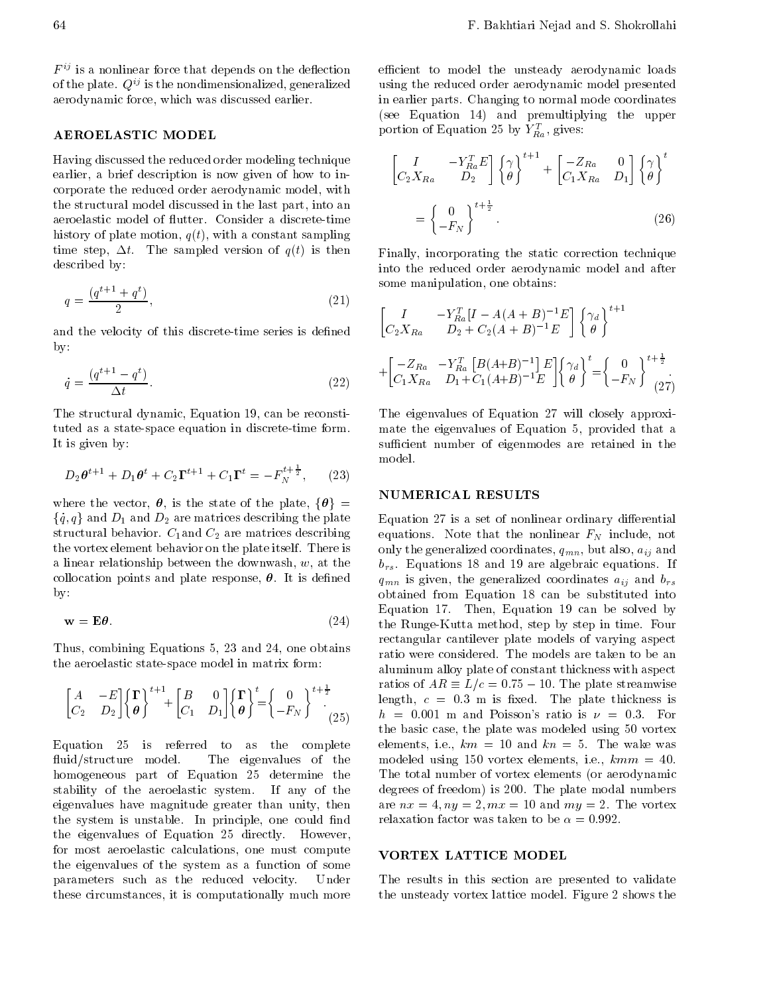$F^{ij}$  is a nonlinear force that depends on the deflection of the plate.  $Q^{ij}$  is the nondimensionalized, generalized aerodynamic force, which was discussed earlier.

#### AEROELASTIC MODEL

Having discussed the reduced order modeling technique earlier, a brief description is now given of how to incorporate the reduced order aerodynamic model, with the structural model discussed in the last part, into an aeroelastic model of flutter. Consider a discrete-time history of plate motion,  $q(t)$ , with a constant sampling time step,  $\Delta t$ . The sampled version of  $q(t)$  is then described by

$$
q = \frac{(q^{t+1} + q^t)}{2},\tag{21}
$$

and the velocity of this discretetime series is de-ned  $by:$ 

$$
\dot{q} = \frac{(q^{t+1} - q^t)}{\Delta t}.\tag{22}
$$

The structural dynamic, Equation 19, can be reconstituted as a state-space equation in discrete-time form. It is given by

$$
D_2 \theta^{t+1} + D_1 \theta^t + C_2 \Gamma^{t+1} + C_1 \Gamma^t = -F_N^{t+\frac{1}{2}}, \qquad (23)
$$

where the vector,  $\theta$ , is the state of the plate,  $\{\theta\}$  =  $\{\dot q, q\}$  and  $D_1$  and  $D_2$  are matrices describing the plate  $\quad$  Eq structural behavior c-pand c- $\Delta$  are matrices describing  $\sim$  and the vortex element behavior on the plate itself. There is a linear relationship between the downwash,  $w$ , at the collocation points and plate response,  $\theta$ . It is defined

$$
\mathbf{w} = \mathbf{E}\boldsymbol{\theta}.\tag{24}
$$

Thus combining Equations and  one obtains the aeroelastic state-space model in matrix form:

$$
\begin{bmatrix} A & -E \ C_2 & D_2 \end{bmatrix} \begin{Bmatrix} \Gamma \\ \theta \end{Bmatrix}^{t+1} + \begin{bmatrix} B & 0 \\ C_1 & D_1 \end{bmatrix} \begin{Bmatrix} \Gamma \\ \theta \end{Bmatrix}^t = \begin{Bmatrix} 0 \\ -F_N \end{Bmatrix}^{t+\frac{1}{2}} \begin{Bmatrix} 1 \\ 25 \end{Bmatrix}
$$

Equation 25 is referred to  $\quad$  as the complete fluid/structure model. The eigenvalues of the homogeneous part of Equation determine the stability of the aeroelastic system If any of the eigenvalues have magnitude greater than unity, then the system is unstable In principle, the stable in the couple the eigenvalues of  $\mathbb{R}^n$  and  $\mathbb{R}^n$  are contribution of  $\mathbb{R}^n$  and  $\mathbb{R}^n$  are contribution of  $\mathbb{R}^n$ for most aeroelastic calculations, one must compute the eigenvalues of the system as a function of some parameters such as the reduced velocity. Under these circumstances, it is computationally much more

efficient to model the unsteady aerodynamic loads using the reduced order aerodynamic model presented in earlier parts. Changing to normal mode coordinates (see Equation 14) and premultiplying the upper portion of Equation 25 by  $Y_{\vec{R}a}$ , gives:

$$
\begin{bmatrix} I & -Y_{Ra}^T E \\ C_2 X_{Ra} & D_2 \end{bmatrix} \begin{Bmatrix} \gamma \\ \theta \end{Bmatrix}^{t+1} + \begin{bmatrix} -Z_{Ra} & 0 \\ C_1 X_{Ra} & D_1 \end{bmatrix} \begin{Bmatrix} \gamma \\ \theta \end{Bmatrix}^t
$$

$$
= \begin{Bmatrix} 0 \\ -F_N \end{Bmatrix}^{t+\frac{1}{2}} \tag{26}
$$

Finally, incorporating the static correction technique into the reduced order aerodynamic model and after some manipulation, one obtains:

$$
\begin{bmatrix} I & -Y_{Ra}^{T} [I - A(A + B)^{-1} E] \begin{Bmatrix} \gamma_d \\ \theta \end{Bmatrix}^{t+1} + \begin{bmatrix} -Z_{Ra} & -Y_{Ra}^{T} [B(A + B)^{-1}] E \begin{Bmatrix} \gamma_d \\ \theta \end{Bmatrix}^{t} + \begin{bmatrix} -Z_{Ra} & -Y_{Ra}^{T} [B(A + B)^{-1}] E \begin{Bmatrix} \gamma_d \\ \theta \end{Bmatrix}^{t} = \begin{Bmatrix} 0 \\ -F_N \end{Bmatrix}^{t+\frac{1}{2}}. \tag{27}
$$

The eigenvalues of Equation will closely approxi mate the eigenvalues of Equation 5, provided that a sufficient number of eigenmodes are retained in the model

#### NUMERICAL RESULTS

 $\epsilon$  -  $\epsilon$  qmn is given, the generalized coordinates  $a_{ij}$  and  $v_{rs}$  $\sim$  the Runge Kutta method, step by step in time. Four Equation is a set of nonlinear ordinary dierential equations Note that the nonlinear FN include note that the non-linear FN include note that the non-linear FN i only the generalized coordinates qmn but also aij and  $b_{rs}$ . Equations 18 and 19 are algebraic equations. If obtained from Equation 18 can be substituted into Equation 17. Then, Equation 19 can be solved by rectangular cantilever plate models of varying aspect ratio were considered. The models are taken to be an aluminum alloy plate of constant thickness with aspect ratios of  $AK \equiv L/c = 0.75 - 10$ . The plate streamwise length c m is - and in the plate the continues in  $h = 0.001$  m and Poisson's ratio is  $\nu = 0.3$ . For the basic case, the plate was modeled using 50 vortex elements, i.e.,  $km = 10$  and  $kn = 5$ . The wake was modeled using 150 vortex elements, i.e.,  $kmm = 40$ . The total number of vortex elements (or aerodynamic degrees of freedom is The plate modal numbers are now the state of the vortex and my the state of the volume of the volume of the volume of the volume of th

#### VORTEX LATTICE MODEL

The results in this section are presented to validate the unsteady voltage  $\mathcal{L}$  is the unsteady voltage model Figure model Figure model Figure model Figure model Figure model Figure model Figure model Figure model Figure model Figure model Figure model Figure model Figur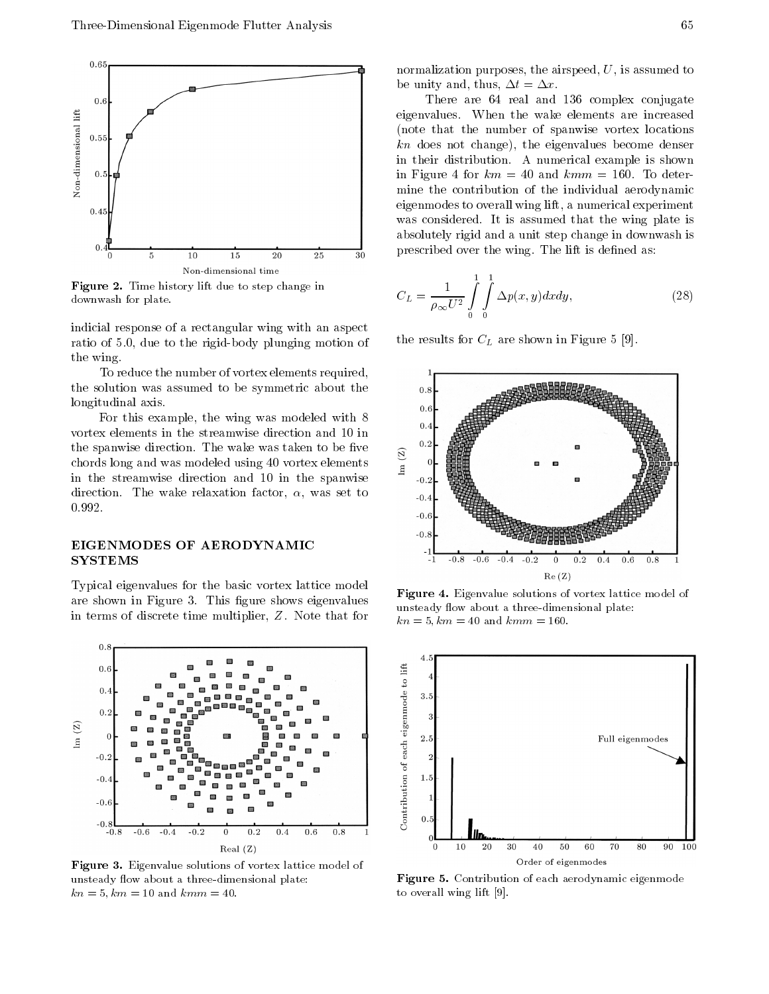

**Figure 2.** Time mstory int due to step change in downwash for plate-

indicial response of a rectangular wing with an aspect ratio of 5.0, due to the rigid-body plunging motion of the wing

To reduce the number of vortex elements required the solution was assumed to be symmetric about the longitudinal axis

For this example, the wing was modeled with 8 vortex elements in the streamwise direction and  $10 \text{ in}$ <br>the spanwise direction. The wave taken to be five the spanwise direction The was taken to be - was taken to be - was taken to be - was taken to be - was taken to the spanwise direction. The wake was taken to be five<br>chords long and was modeled using 40 vortex elements  $\frac{1}{4}$ in the streamwise direction and 10 in the spanwise direction. The wake relaxation factor,  $\alpha$ , was set to  $\qquad \qquad \mathbf{0.4}$ 0.992.

## EIGENMODES OF AERODYNAMIC SYSTEMS

Typical eigenvalues for the basic vortex lattice model are shown in Figure This - In Figure Shows - Application - In This - In This - In This - In This - In This - I in terms of discrete time multiplier,  $Z$ . Note that for



**Figure 3.** Eigenvalue solutions of vortex lattice model of unsteady flow about a three-dimensional plate:  $k$  ,  $k$  ,  $k$  ,  $k$  ,  $k$  ,  $k$  ,  $k$  ,  $k$  ,  $k$  ,  $k$  ,  $k$  ,  $k$  ,  $k$  ,  $k$  ,  $k$  ,  $k$  ,  $k$  ,  $k$  ,  $k$  ,  $k$  ,  $k$  ,  $k$  ,  $k$  ,  $k$  ,  $k$  ,  $k$  ,  $k$  ,  $k$  ,  $k$  ,  $k$  ,  $k$  ,  $k$  ,  $k$  ,  $k$  ,  $k$  ,  $k$  ,  $k$  ,

normalization purposes, the airspeed,  $U$ , is assumed to be unity and, thus,  $\Delta t = \Delta x$ .

There are 64 real and 136 complex conjugate eigenvalues When the wake elements are increased note that the number of spanwise vortex locations  $kn$  does not change), the eigenvalues become denser in their distribution A numerical example is shown in Figure 4 for  $km = 40$  and  $kmm = 160$ . To determine the contribution of the individual aerodynamic eigenmodes to overall wing lift, a numerical experiment was considered. It is assumed that the wing plate is absolutely rigid and a unit step change in downwash is prescribed over the wing The lift is de-ned as

$$
C_L = \frac{1}{\rho_{\infty} U^2} \int_{0}^{1} \int_{0}^{1} \Delta p(x, y) dx dy,
$$
 (28)

the results for  $\mathbf{r}_1$  are shown in Figure shown in Figure shown in Figure shown in Figure shown in Figure



**Figure 4.** Eigenvalue solutions of vortex lattice model of unsteady flow about a three-dimensional plate:  $k$  ,  $k$  ,  $k$  ,  $k$  ,  $k$  ,  $k$  ,  $k$  ,  $k$  ,  $k$  ,  $k$  ,  $k$  ,  $k$  ,  $k$  ,  $k$  ,  $k$  ,  $k$  ,  $k$  ,  $k$  ,  $k$  ,  $k$  ,  $k$  ,  $k$  ,  $k$  ,  $k$  ,  $k$  ,  $k$  ,  $k$  ,  $k$  ,  $k$  ,  $k$  ,  $k$  ,  $k$  ,  $k$  ,  $k$  ,  $k$  ,  $k$  ,  $k$  ,



**Figure 5.** Contribution of each aerodynamic eigenmode to overall wing lift  $[9]$ .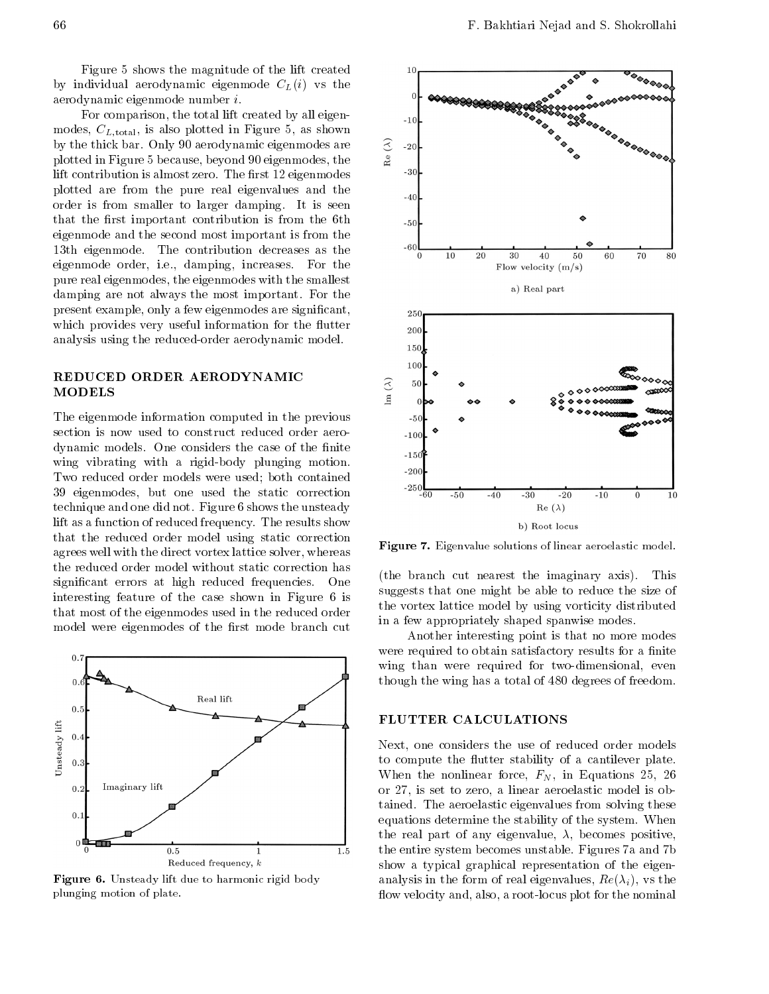Figure 5 shows the magnitude of the lift created by individual aerodynamic eigenmode  $C<sub>L</sub>(i)$  vs the aerodynamic eigenmode number i

For comparison, the total lift created by all eigenmodes,  $C_{L,\text{total}}$ , is also plotted in Figure 5, as shown<br>by the thick bar. Only 90 aerodynamic eigenmodes are<br>plotted in Figure 5 because, beyond 90 eigenmodes, the  $\frac{3}{2}$ by the thick bar. Only 90 aerodynamic eigenmodes are plotted in Figure 5 because, beyond 90 eigenmodes, the lift contribution is almost zero The -rst eigenmodes plotted are from the pure real eigenvalues and the order is from smaller to larger damping. It is seen that the contribution is the state of the the three three that the three contribution  $\mathcal{L}_\mathbf{u}$ eigenmode and the second most important is from the 13th eigenmode. The contribution decreases as the eigenmode order, i.e., damping, increases. For the pure real eigenmodes, the eigenmodes with the smallest damping are not always the most important. For the present example only a few eigenmodes are signi-cant which provides very useful information for the flutter analysis using the reduced-order aerodynamic model.

## REDUCED ORDER AERODYNAMIC MODELS

The eigenmode information computed in the previous section is now used to construct reduced order aerodynamic models One considers the considers the considers the case of the case of the case of the wing vibrating with a rigid-body plunging motion. Two reduced order models were used; both contained 39 eigenmodes, but one used the static correction technique and one did not. Figure 6 shows the unsteady lift as a function of reduced frequency. The results show that the reduced order model using static correction agrees well with the direct vortex lattice solver, whereas the reduced order model without static correction has significant errors at high reduced frequencies on at  $\sim$ interesting feature of the case shown in Figure 6 is that most of the eigenmodes used in the reduced order model were eigenmodes of the -rst mode branch cut



**Figure 6.** Unsteady lift due to harmonic rigid body plunging motion of plate-



Figure - Eigenvalue solutions of linear aeroelastic model-

(the branch cut nearest the imaginary axis). This suggests that one might be able to reduce the size of the vortex lattice model by using vorticity distributed in a few appropriately shaped spanwise modes

Another interesting point is that no more modes were required to obtain satisfactory required to obtain satisfactory results for a -  $n$ wing than were required for two-dimensional, even though the wing has a total of 480 degrees of freedom.

#### FLUTTER CALCULATIONS

Next, one considers the use of reduced order models to compute the flutter stability of a cantilever plate. When the nonlinear force  $\mathbf{F} = \mathbf{F} \mathbf{F}$  is the nonlinear force  $\mathbf{F}$ or set to a linear and a linear attention that is obtained in the set of the set of the set of the set of the tained. The aeroelastic eigenvalues from solving these equations determine the stability of the system. When the real part of any eigenvalue of any eigenvalue of any eigenvalue of any eigenvalue of any eigenvalue of any the entire system becomes unstable. Figures 7a and 7b show a typical graphical representation of the eigen analysis in the form of real eigenvalues Re i vs the flow velocity and, also, a root-locus plot for the nominal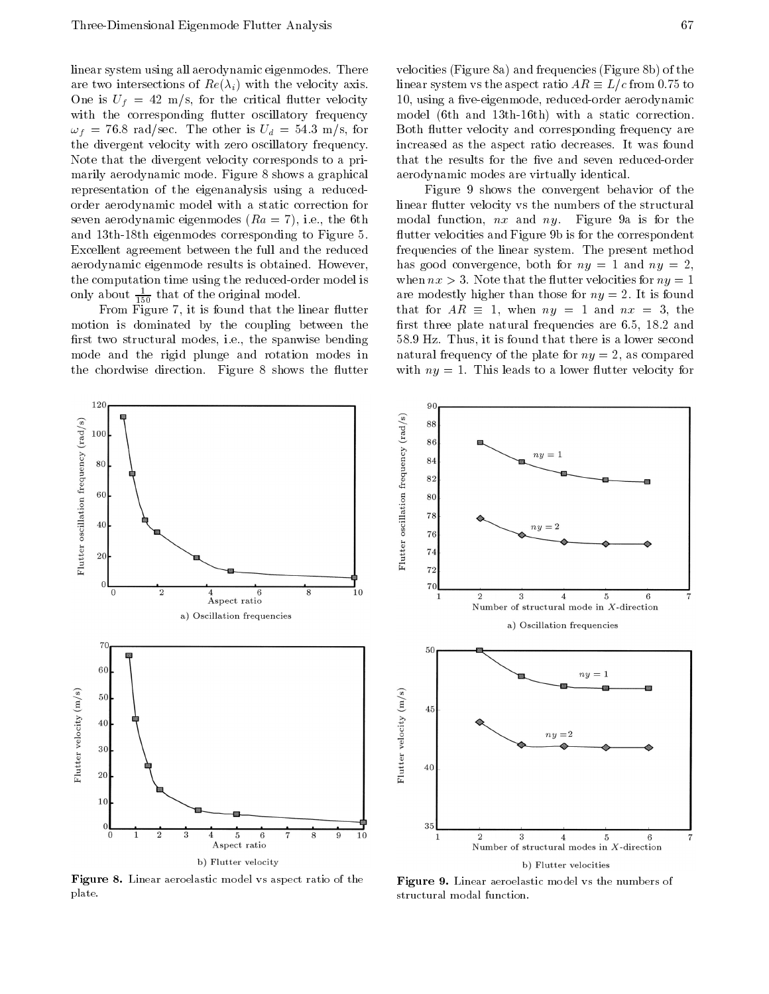linear system using all aerodynamic eigenmodes There intersections of the velocity and velocity and velocity and vertices of the velocity and velocity and velocity one is ufficiently and the critical utter velocity and the critical utter  $\mathcal{L}_{\mathcal{A}}$ with the corresponding flutter oscillatory frequency f and the other is used to the other index for  $\mathbf{u}$  and  $\mathbf{u}$  and  $\mathbf{u}$  and  $\mathbf{u}$  and  $\mathbf{u}$  and  $\mathbf{u}$  and  $\mathbf{u}$  and  $\mathbf{u}$  and  $\mathbf{u}$  and  $\mathbf{u}$  and  $\mathbf{u}$  and  $\mathbf{u}$  and  $\mathbf{u}$  and  $\mathbf{$ the divergent velocity with zero oscillatory frequency Note that the divergent velocity corresponds to a pri marily aerodynamic mode. Figure 8 shows a graphical representation of the eigenanalysis using a reduced order aerodynamic model with a static correction for seven aerodynamic eigenmodes  $(Ra = 7)$ , i.e., the 6th and  $13th-18th$  eigenmodes corresponding to Figure 5. Excellent agreement between the full and the reduced aerodynamic eigenmode results is obtained. However, the computation time using the reduced-order model is only about  $\frac{}{150}$  that of the original model.

From Figure it is found that the linear utter motion is dominated by the coupling between the -rst two structural modes ie the spanwise bending mode and the rigid plunge and rotation modes in the chordwise direction. Figure 8 shows the flutter

velocities (Figure 8a) and frequencies (Figure 8b) of the linear system vs the aspect ratio  $AK \equiv L/c$  from 0.75 to using a -veeigenmode reducedorder aerodynamic model (6th and 13th-16th) with a static correction. Both flutter velocity and corresponding frequency are increased as the aspect ratio decreases It was found aerodynamic modes are virtually identical

Figure 9 shows the convergent behavior of the linear flutter velocity vs the numbers of the structural modal function,  $nx$  and  $ny$ . Figure 9a is for the flutter velocities and Figure 9b is for the correspondent frequencies of the linear system. The present method has good convergence both for ny and ny when  $nx > 3$ . Note that the flutter velocities for  $ny = 1$ are modestly higher than those for  $\eta$  is the state for ny  $\eta$ that for  $AK \equiv 1$ , when  $ny = 1$  and  $nx = 3$ , the -rst three plate natural frequencies are and 58.9 Hz. Thus, it is found that there is a lower second natural frequency of the plate for ny as compared for ny as compared for ny as compared for ny as compared with  $ny = 1$ . This leads to a lower flutter velocity for





**Figure 8.** Linear aeroelastic model vs aspect ratio of the straight plate.

Figure - Linear aeroelastic model vs the numbers of structural modal function.